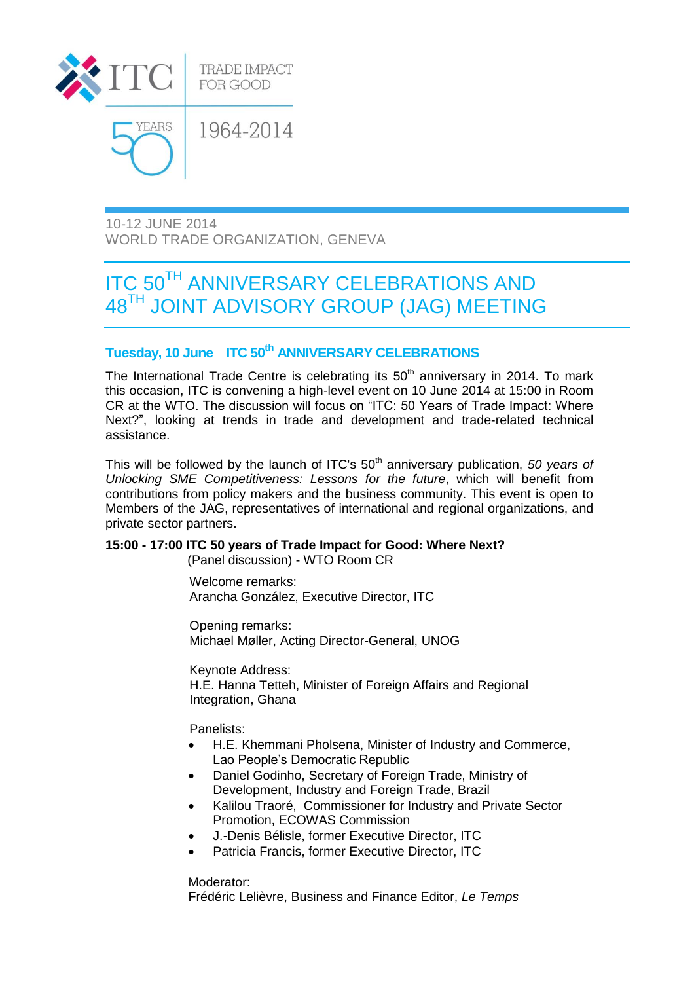

10-12 JUNE 2014 WORLD TRADE ORGANIZATION, GENEVA

# **ITC 50<sup>TH</sup> ANNIVERSARY CELEBRATIONS AND** 48TH JOINT ADVISORY GROUP (JAG) MEETING

## **Tuesday, 10 June ITC 50th ANNIVERSARY CELEBRATIONS**

The International Trade Centre is celebrating its  $50<sup>th</sup>$  anniversary in 2014. To mark this occasion, ITC is convening a high-level event on 10 June 2014 at 15:00 in Room CR at the WTO. The discussion will focus on "ITC: 50 Years of Trade Impact: Where Next?", looking at trends in trade and development and trade-related technical assistance.

This will be followed by the launch of ITC's 50<sup>th</sup> anniversary publication, 50 years of *Unlocking SME Competitiveness: Lessons for the future*, which will benefit from contributions from policy makers and the business community. This event is open to Members of the JAG, representatives of international and regional organizations, and private sector partners.

#### **15:00 - 17:00 ITC 50 years of Trade Impact for Good: Where Next?**

(Panel discussion) - WTO Room CR

Welcome remarks: Arancha González, Executive Director, ITC

Opening remarks: Michael Møller, Acting Director-General, UNOG

Keynote Address: H.E. Hanna Tetteh, Minister of Foreign Affairs and Regional Integration, Ghana

Panelists:

- H.E. Khemmani Pholsena, Minister of Industry and Commerce, Lao People's Democratic Republic
- Daniel Godinho, Secretary of Foreign Trade, Ministry of Development, Industry and Foreign Trade, Brazil
- Kalilou Traoré, Commissioner for Industry and Private Sector Promotion, ECOWAS Commission
- J.-Denis Bélisle, former Executive Director, ITC
- Patricia Francis, former Executive Director, ITC

Moderator:

Frédéric Lelièvre, Business and Finance Editor, *Le Temps*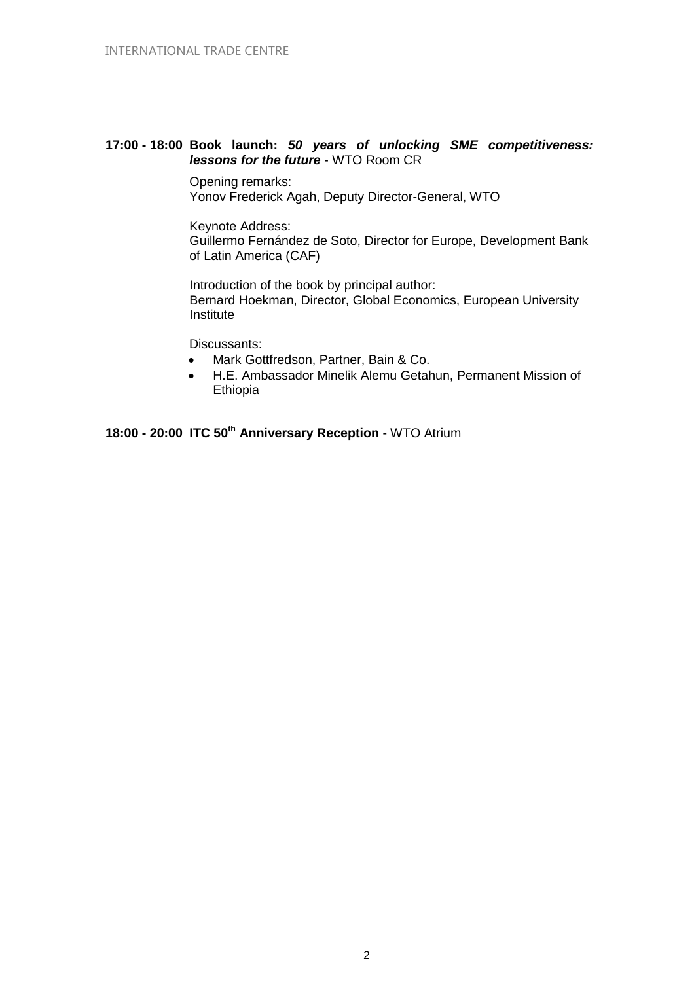#### **17:00 - 18:00 Book launch:** *50 years of unlocking SME competitiveness: lessons for the future* - WTO Room CR

Opening remarks: Yonov Frederick Agah, Deputy Director-General, WTO

Keynote Address: Guillermo Fernández de Soto, Director for Europe, Development Bank of Latin America (CAF)

Introduction of the book by principal author: Bernard Hoekman, Director, Global Economics, European University Institute

Discussants:

- Mark Gottfredson, Partner, Bain & Co.
- H.E. Ambassador Minelik Alemu Getahun, Permanent Mission of Ethiopia

**18:00 - 20:00 ITC 50th Anniversary Reception** - WTO Atrium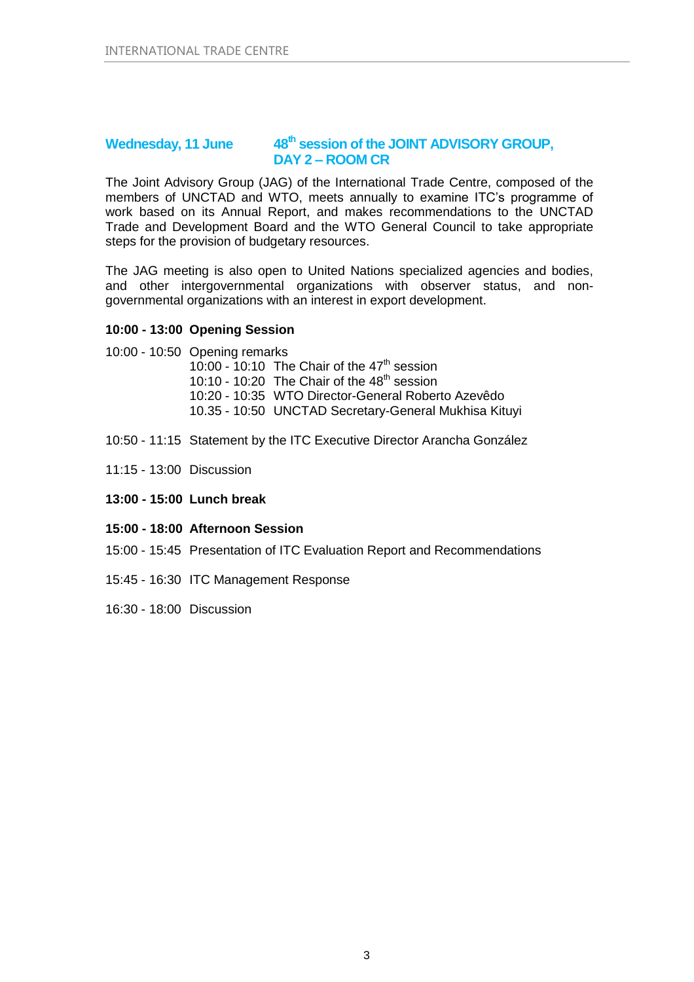### **Wednesday, 11 June 48th session of the JOINT ADVISORY GROUP, DAY 2 – ROOM CR**

The Joint Advisory Group (JAG) of the International Trade Centre, composed of the members of UNCTAD and WTO, meets annually to examine ITC's programme of work based on its Annual Report, and makes recommendations to the UNCTAD Trade and Development Board and the WTO General Council to take appropriate steps for the provision of budgetary resources.

The JAG meeting is also open to United Nations specialized agencies and bodies, and other intergovernmental organizations with observer status, and nongovernmental organizations with an interest in export development.

#### **10:00 - 13:00 Opening Session**

- 10:00 10:50 Opening remarks 10:00 - 10:10 The Chair of the  $47<sup>th</sup>$  session 10:10 - 10:20 The Chair of the  $48<sup>th</sup>$  session 10:20 - 10:35 WTO Director-General Roberto Azevêdo 10.35 - 10:50 UNCTAD Secretary-General Mukhisa Kituyi
- 10:50 11:15 Statement by the ITC Executive Director Arancha González
- 11:15 13:00 Discussion
- **13:00 - 15:00 Lunch break**
- **15:00 - 18:00 Afternoon Session**
- 15:00 15:45 Presentation of ITC Evaluation Report and Recommendations
- 15:45 16:30 ITC Management Response
- 16:30 18:00 Discussion